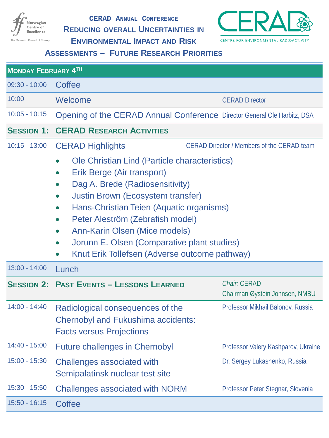

**CERAD ANNUAL CONFERENCE**

**REDUCING OVERALL UNCERTAINTIES IN**



**ENVIRONMENTAL IMPACT AND RISK**

**ASSESSMENTS – FUTURE RESEARCH PRIORITIES**

| <b>MONDAY FEBRUARY 4TH</b> |                                                                                                                                                                                                                                                                                                                                                                                                                                                                                                  |                                                |  |
|----------------------------|--------------------------------------------------------------------------------------------------------------------------------------------------------------------------------------------------------------------------------------------------------------------------------------------------------------------------------------------------------------------------------------------------------------------------------------------------------------------------------------------------|------------------------------------------------|--|
| 09:30 - 10:00              | Coffee                                                                                                                                                                                                                                                                                                                                                                                                                                                                                           |                                                |  |
| 10:00                      | Welcome<br><b>CERAD Director</b>                                                                                                                                                                                                                                                                                                                                                                                                                                                                 |                                                |  |
| $10:05 - 10:15$            | Opening of the CERAD Annual Conference Director General Ole Harbitz, DSA                                                                                                                                                                                                                                                                                                                                                                                                                         |                                                |  |
| <b>SESSION 1:</b>          | <b>CERAD RESEARCH ACTIVITIES</b>                                                                                                                                                                                                                                                                                                                                                                                                                                                                 |                                                |  |
| $10:15 - 13:00$            | <b>CERAD Highlights</b><br><b>CERAD Director / Members of the CERAD team</b>                                                                                                                                                                                                                                                                                                                                                                                                                     |                                                |  |
|                            | Ole Christian Lind (Particle characteristics)<br>$\bullet$<br>Erik Berge (Air transport)<br>$\bullet$<br>Dag A. Brede (Radiosensitivity)<br>$\bullet$<br><b>Justin Brown (Ecosystem transfer)</b><br>$\bullet$<br>Hans-Christian Teien (Aquatic organisms)<br>$\bullet$<br>Peter Aleström (Zebrafish model)<br>$\bullet$<br>Ann-Karin Olsen (Mice models)<br>$\bullet$<br>Jorunn E. Olsen (Comparative plant studies)<br>$\bullet$<br>Knut Erik Tollefsen (Adverse outcome pathway)<br>$\bullet$ |                                                |  |
| $13:00 - 14:00$            | Lunch                                                                                                                                                                                                                                                                                                                                                                                                                                                                                            |                                                |  |
|                            | <b>SESSION 2: PAST EVENTS - LESSONS LEARNED</b>                                                                                                                                                                                                                                                                                                                                                                                                                                                  | Chair: CERAD<br>Chairman Øystein Johnsen, NMBU |  |
| 14:00 - 14:40              | Radiological consequences of the<br><b>Chernobyl and Fukushima accidents:</b><br><b>Facts versus Projections</b>                                                                                                                                                                                                                                                                                                                                                                                 | Professor Mikhail Balonov, Russia              |  |
| 14:40 - 15:00              | <b>Future challenges in Chernobyl</b>                                                                                                                                                                                                                                                                                                                                                                                                                                                            | Professor Valery Kashparov, Ukraine            |  |
| 15:00 - 15:30              | Challenges associated with<br>Semipalatinsk nuclear test site                                                                                                                                                                                                                                                                                                                                                                                                                                    | Dr. Sergey Lukashenko, Russia                  |  |
| 15:30 - 15:50              | <b>Challenges associated with NORM</b>                                                                                                                                                                                                                                                                                                                                                                                                                                                           | Professor Peter Stegnar, Slovenia              |  |
| $15:50 - 16:15$            | Coffee                                                                                                                                                                                                                                                                                                                                                                                                                                                                                           |                                                |  |
|                            |                                                                                                                                                                                                                                                                                                                                                                                                                                                                                                  |                                                |  |